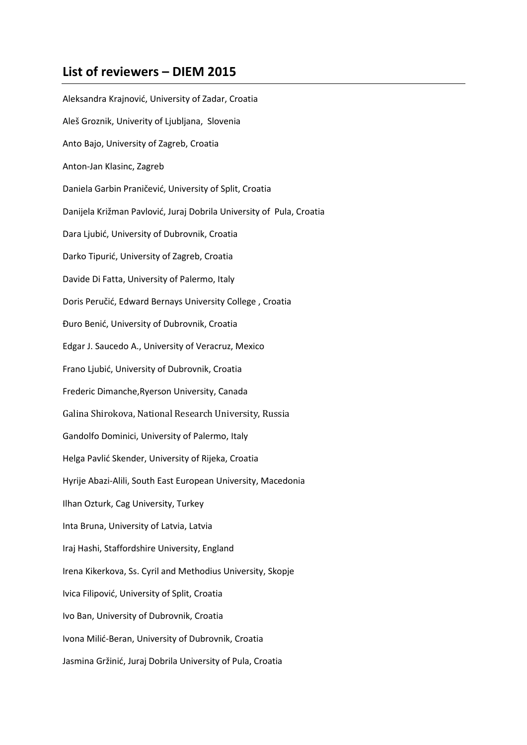## **List of reviewers – DIEM 2015**

Aleksandra Krajnović, University of Zadar, Croatia Aleš Groznik, Univerity of Ljubljana, Slovenia Anto Bajo, University of Zagreb, Croatia Anton-Jan Klasinc, Zagreb Daniela Garbin Praničević, University of Split, Croatia Danijela Križman Pavlović, Juraj Dobrila University of Pula, Croatia Dara Ljubić, University of Dubrovnik, Croatia Darko Tipurić, University of Zagreb, Croatia Davide Di Fatta, University of Palermo, Italy Doris Peručić, Edward Bernays University College , Croatia Đuro Benić, University of Dubrovnik, Croatia Edgar J. Saucedo A., University of Veracruz, Mexico Frano Ljubić, University of Dubrovnik, Croatia Frederic Dimanche,Ryerson University, Canada Galina Shirokova, National Research University, Russia Gandolfo Dominici, University of Palermo, Italy Helga Pavlić Skender, University of Rijeka, Croatia Hyrije Abazi-Alili, South East European University, Macedonia Ilhan Ozturk, Cag University, Turkey Inta Bruna, University of Latvia, Latvia Iraj Hashi, Staffordshire University, England Irena Kikerkova, Ss. Cyril and Methodius University, Skopje Ivica Filipović, University of Split, Croatia Ivo Ban, University of Dubrovnik, Croatia Ivona Milić-Beran, University of Dubrovnik, Croatia Jasmina Gržinić, Juraj Dobrila University of Pula, Croatia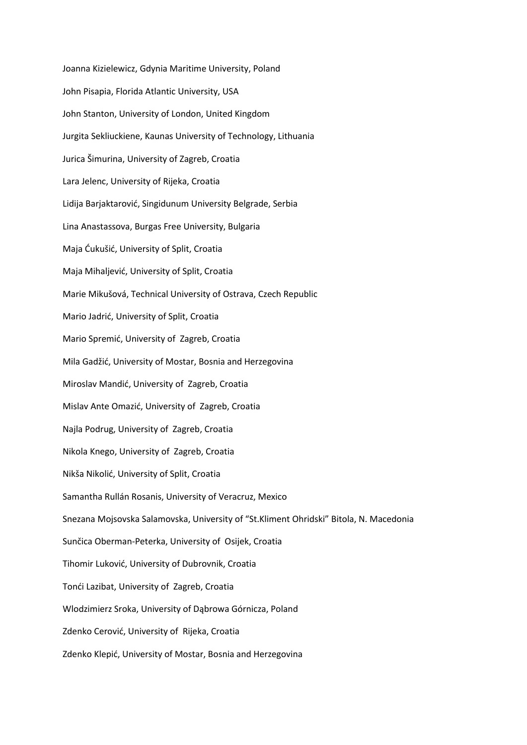Joanna Kizielewicz, Gdynia Maritime University, Poland John Pisapia, Florida Atlantic University, USA John Stanton, University of London, United Kingdom Jurgita Sekliuckiene, Kaunas University of Technology, Lithuania Jurica Šimurina, University of Zagreb, Croatia Lara Jelenc, University of Rijeka, Croatia Lidija Barjaktarović, Singidunum University Belgrade, Serbia Lina Anastassova, Burgas Free University, Bulgaria Maja Ćukušić, University of Split, Croatia Maja Mihaljević, University of Split, Croatia Marie Mikušová, Technical University of Ostrava, Czech Republic Mario Jadrić, University of Split, Croatia Mario Spremić, University of Zagreb, Croatia Mila Gadžić, University of Mostar, Bosnia and Herzegovina Miroslav Mandić, University of Zagreb, Croatia Mislav Ante Omazić, University of Zagreb, Croatia Najla Podrug, University of Zagreb, Croatia Nikola Knego, University of Zagreb, Croatia Nikša Nikolić, University of Split, Croatia Samantha Rullán Rosanis, University of Veracruz, Mexico Snezana Mojsovska Salamovska, University of "St.Kliment Ohridski" Bitola, N. Macedonia Sunčica Oberman-Peterka, University of Osijek, Croatia Tihomir Luković, University of Dubrovnik, Croatia Tonći Lazibat, University of Zagreb, Croatia Wlodzimierz Sroka, University of Dąbrowa Górnicza, Poland Zdenko Cerović, University of Rijeka, Croatia Zdenko Klepić, University of Mostar, Bosnia and Herzegovina